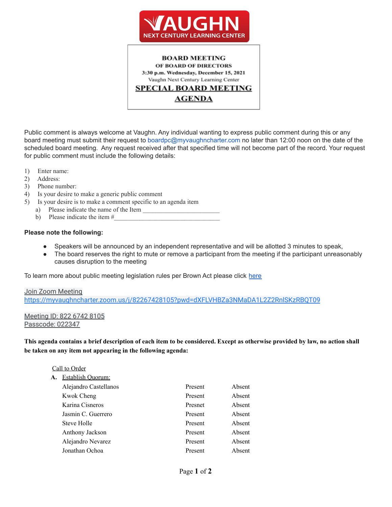

**BOARD MEETING** OF BOARD OF DIRECTORS 3:30 p.m. Wednesday, December 15, 2021 Vaughn Next Century Learning Center **SPECIAL BOARD MEETING AGENDA** 

Public comment is always welcome at Vaughn. Any individual wanting to express public comment during this or any board meeting must submit their request to boardpc@myvaughncharter.com no later than 12:00 noon on the date of the scheduled board meeting. Any request received after that specified time will not become part of the record. Your request for public comment must include the following details:

- 1) Enter name:
- 2) Address:
- 3) Phone number:
- 4) Is your desire to make a generic public comment
- 5) Is your desire is to make a comment specific to an agenda item
	- a) Please indicate the name of the Item
	- b) Please indicate the item  $#_2$

#### **Please note the following:**

- Speakers will be announced by an independent representative and will be allotted 3 minutes to speak,
- The board reserves the right to mute or remove a participant from the meeting if the participant unreasonably causes disruption to the meeting

To learn more about public meeting legislation rules per Brown Act please click [here](https://leginfo.legislature.ca.gov/faces/billTextClient.xhtml?bill_id=201520160AB1787)

### Join Zoom Meeting <https://myvaughncharter.zoom.us/j/82267428105?pwd=dXFLVHBZa3NMaDA1L2Z2RnlSKzRBQT09>

### Meeting ID: 822 6742 8105 Passcode: 022347

This agenda contains a brief description of each item to be considered. Except as otherwise provided by law, no action shall **be taken on any item not appearing in the following agenda:**

#### Call to Order

| А. | Establish Ouorum:     |         |        |
|----|-----------------------|---------|--------|
|    | Alejandro Castellanos | Present | Absent |
|    | Kwok Cheng            | Present | Absent |
|    | Karina Cisneros       | Presnet | Absent |
|    | Jasmin C. Guerrero    | Present | Absent |
|    | Steve Holle           | Present | Absent |
|    | Anthony Jackson       | Present | Absent |
|    | Alejandro Nevarez     | Present | Absent |
|    | Jonathan Ochoa        | Present | Absent |